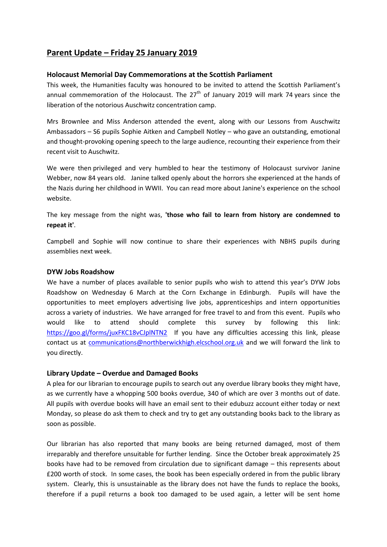# **Parent Update – Friday 25 January 2019**

## **Holocaust Memorial Day Commemorations at the Scottish Parliament**

This week, the Humanities faculty was honoured to be invited to attend the Scottish Parliament's annual commemoration of the Holocaust. The  $27<sup>th</sup>$  of January 2019 will mark 74 years since the liberation of the notorious Auschwitz concentration camp.

Mrs Brownlee and Miss Anderson attended the event, along with our Lessons from Auschwitz Ambassadors – S6 pupils Sophie Aitken and Campbell Notley – who gave an outstanding, emotional and thought-provoking opening speech to the large audience, recounting their experience from their recent visit to Auschwitz.

We were then privileged and very humbled to hear the testimony of Holocaust survivor Janine Webber, now 84 years old. Janine talked openly about the horrors she experienced at the hands of the Nazis during her childhood in WWII. You can read more about Janine's experience on the school website.

The key message from the night was, **'those who fail to learn from history are condemned to repeat it'**.

Campbell and Sophie will now continue to share their experiences with NBHS pupils during assemblies next week.

## **DYW Jobs Roadshow**

We have a number of places available to senior pupils who wish to attend this year's DYW Jobs Roadshow on Wednesday 6 March at the Corn Exchange in Edinburgh. Pupils will have the opportunities to meet employers advertising live jobs, apprenticeships and intern opportunities across a variety of industries. We have arranged for free travel to and from this event. Pupils who would like to attend should complete this survey by following this link: <https://goo.gl/forms/juxFKC18vCJplNTN2>If you have any difficulties accessing this link, please contact us at [communications@northberwickhigh.elcschool.org.uk](mailto:communications@northberwickhigh.elcschool.org.uk) and we will forward the link to you directly.

# **Library Update – Overdue and Damaged Books**

A plea for our librarian to encourage pupils to search out any overdue library books they might have, as we currently have a whopping 500 books overdue, 340 of which are over 3 months out of date. All pupils with overdue books will have an email sent to their edubuzz account either today or next Monday, so please do ask them to check and try to get any outstanding books back to the library as soon as possible.

Our librarian has also reported that many books are being returned damaged, most of them irreparably and therefore unsuitable for further lending. Since the October break approximately 25 books have had to be removed from circulation due to significant damage – this represents about £200 worth of stock. In some cases, the book has been especially ordered in from the public library system. Clearly, this is unsustainable as the library does not have the funds to replace the books, therefore if a pupil returns a book too damaged to be used again, a letter will be sent home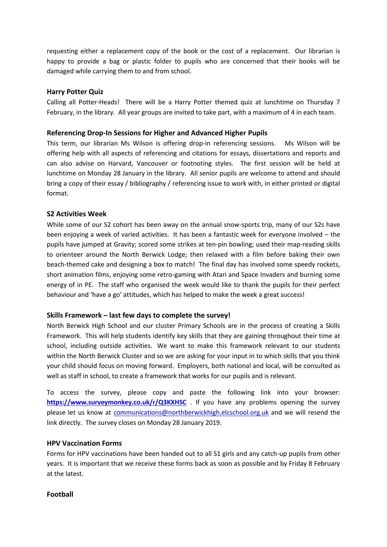requesting either a replacement copy of the book or the cost of a replacement. Our librarian is happy to provide a bag or plastic folder to pupils who are concerned that their books will be damaged while carrying them to and from school.

#### **Harry Potter Quiz**

Calling all Potter-Heads! There will be a Harry Potter themed quiz at lunchtime on Thursday 7 February, in the library. All year groups are invited to take part, with a maximum of 4 in each team.

## **Referencing Drop-In Sessions for Higher and Advanced Higher Pupils**

This term, our librarian Ms Wilson is offering drop-in referencing sessions. Ms Wilson will be offering help with all aspects of referencing and citations for essays, dissertations and reports and can also advise on Harvard, Vancouver or footnoting styles. The first session will be held at lunchtime on Monday 28 January in the library. All senior pupils are welcome to attend and should bring a copy of their essay / bibliography / referencing issue to work with, in either printed or digital format.

## **S2 Activities Week**

While some of our S2 cohort has been away on the annual snow-sports trip, many of our S2s have been enjoying a week of varied activities. It has been a fantastic week for everyone involved – the pupils have jumped at Gravity; scored some strikes at ten-pin bowling; used their map-reading skills to orienteer around the North Berwick Lodge; then relaxed with a film before baking their own beach-themed cake and designing a box to match! The final day has involved some speedy rockets, short animation films, enjoying some retro-gaming with Atari and Space Invaders and burning some energy of in PE. The staff who organised the week would like to thank the pupils for their perfect behaviour and 'have a go' attitudes, which has helped to make the week a great success!

#### **Skills Framework – last few days to complete the survey!**

North Berwick High School and our cluster Primary Schools are in the process of creating a Skills Framework. This will help students identify key skills that they are gaining throughout their time at school, including outside activities. We want to make this framework relevant to our students within the North Berwick Cluster and so we are asking for your input in to which skills that you think your child should focus on moving forward. Employers, both national and local, will be consulted as well as staff in school, to create a framework that works for our pupils and is relevant.

To access the survey, please copy and paste the following link into your browser: **<https://www.surveymonkey.co.uk/r/Q3KXHSC>** . If you have any problems opening the survey please let us know at [communications@northberwickhigh.elcschool.org.uk](mailto:communications@northberwickhigh.elcschool.org.uk) and we will resend the link directly. The survey closes on Monday 28 January 2019.

# **HPV Vaccination Forms**

Forms for HPV vaccinations have been handed out to all S1 girls and any catch-up pupils from other years. It is important that we receive these forms back as soon as possible and by Friday 8 February at the latest.

# **Football**